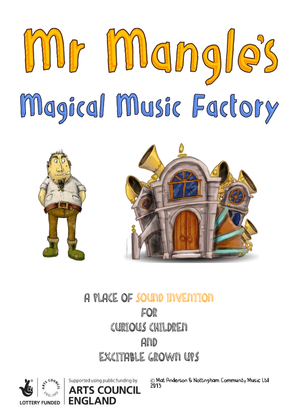



## A PLACE OF SOUND INVENTION FOR CURIOUS CHILDREN **And** EXCITABLE GROWN UPS

Supported using public funding by

**FNGLAND** 

**TS COUNCIL** 



© Mat Anderson & Nottingham Community Music Ltd 2013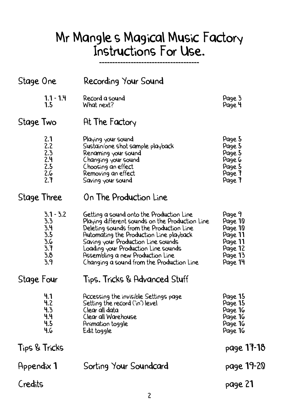## Mr Mangle's Magical Music Factory Instructions For Use.

-------------------------------------

| Stage One                                                    | Recording Your Sound                                                                                                                                                                                                                                                                                                                             |                                                                                     |
|--------------------------------------------------------------|--------------------------------------------------------------------------------------------------------------------------------------------------------------------------------------------------------------------------------------------------------------------------------------------------------------------------------------------------|-------------------------------------------------------------------------------------|
| $1.1 - 1.4$<br>1.5                                           | Record a sound<br>What next?                                                                                                                                                                                                                                                                                                                     | Page 3<br>Page 4                                                                    |
| Stage Two                                                    | At The Factory                                                                                                                                                                                                                                                                                                                                   |                                                                                     |
| 2.1<br>2.2<br>2.3<br>2.4<br>2.5<br>2.6<br>2.7                | Playing your sound<br>Sustain/one shot sample playback<br>Renaming your sound<br>Changing your sound<br>Choosing an effect<br>Removing an effect<br>Saving your sound                                                                                                                                                                            | Page 5<br>Page 5<br>Page 5<br>Page 6<br>Page 5<br>Page 7<br>Page 7                  |
| Stage Three                                                  | On The Production Line                                                                                                                                                                                                                                                                                                                           |                                                                                     |
| $3.1 - 3.2$<br>3.3<br>3.4<br>3.5<br>3.6<br>3.7<br>3.8<br>3.9 | Getting a sound onto the Production Line<br>Playing different sounds on the Production Line<br>Deleting sounds from the Production Line<br>Automating the Production Line playback<br>Saving your Production Line sounds<br>Loading your Production Line sounds<br>Assembling a new Production Line<br>Changing a sound from the Production Line | Page 9<br>Page 10<br>Page 10<br>Page 11<br>Page 11<br>Page 12<br>Page 13<br>Page 14 |
| Stage Four                                                   | Tips. Tricks & Advanced Stuff                                                                                                                                                                                                                                                                                                                    |                                                                                     |
| 4.1<br>4.2<br>4.3<br>4.4<br>4.5<br>4.6                       | Accessing the invisible Settings page<br>Setting the record ('in') level<br>Clear all data<br>Clear all Warehouse<br>Animation toggle<br>Edit toggle                                                                                                                                                                                             | Page 15<br>Page 15<br>Page 16<br>Page 16<br>Page 16<br>Page 16                      |
| Tips & Tricks                                                |                                                                                                                                                                                                                                                                                                                                                  | page 17-18                                                                          |
| Appendix 1                                                   | Sorting Your Soundcard                                                                                                                                                                                                                                                                                                                           | page 19-20                                                                          |
| Credits                                                      |                                                                                                                                                                                                                                                                                                                                                  | page 21                                                                             |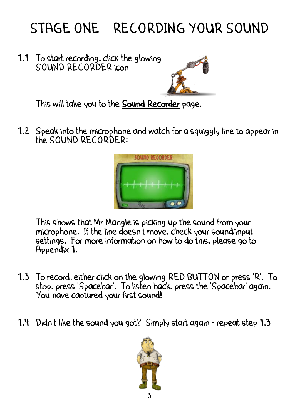# STAGE ONE RECORDING YOUR SOUND

1.1 To start recording, click the glowing SOUND RECORDER icon



This will take you to the Sound Recorder page.

1.2 Speak into the microphone and watch for a squiggly line to appear in the SOUND RECORDER:



This shows that Mr Mangle is picking up the sound from your microphone. If the line doesn't move, check your sound/input settings. For more information on how to do this, please go to Appendix 1.

- 1.3 To record, either click on the glowing RED BUTTON or press 'R'. To stop, press 'Spacebar'. To listen back, press the 'Spacebar' again. You have captured your first sound!
- 1.4 Didn't like the sound you got? Simply start again repeat step 1.3

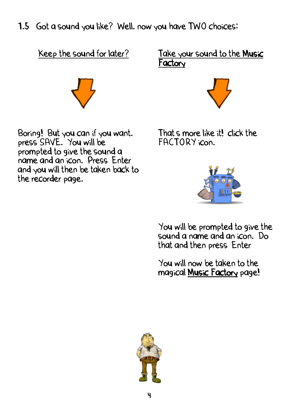1.5 Got a sound you like? Well, now you have TWO choices:

Keep the sound for later?



Boring! But you can if you want. press SAVE. You will be prompted to give the sound a name and an icon. Press Enter and you will then be taken back to the recorder page.

Take your sound to the Music Factory



That's more like it! click the FACTORY icon.



You will be prompted to give the sound a name and an icon. Do that and then press Enter

You will now be taken to the magical Music Factory page!

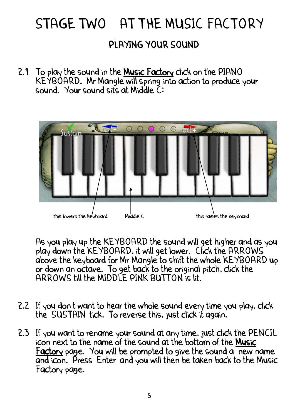# STAGE TWO AT THE MUSIC FACTORY

### PLAYING YOUR SOUND

2.1 To play the sound in the Music Factory click on the PIANO KEYBOARD. Mr Mangle will spring into action to produce your sound. Your sound sits at Middle C:



As you play up the KEYBOARD the sound will get higher and as you play down the KEYBOARD, it will get lower. Click the ARROWS above the keyboard for Mr Mangle to shift the whole KEYBOARD up or down an octave. To get back to the original pitch, click the ARROWS till the MIDDLE PINK BUTTON is lit.

- 2.2 If you don't want to hear the whole sound every time you play, click the SUSTAIN tick. To reverse this, just click it again.
- 2.3 If you want to rename your sound at any time, just click the PENCIL icon next to the name of the sound at the bottom of the Music Factory page. You will be prompted to give the sound a new name and icon. Press Enter and you will then be taken back to the Music Factory page.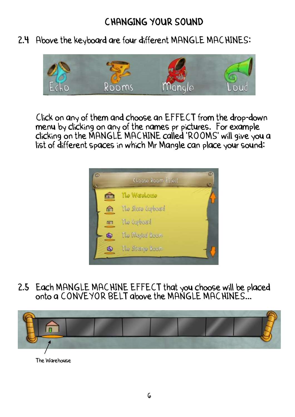### CHANGING YOUR SOUND

2.4 Above the keyboard are four different MANGLE MACHINES:



Click on any of them and choose an EFFECT from the drop-down menu by clicking on any of the names pr pictures. For example clicking on the MANGLE MACHINE called 'ROOMS' will give you a list of different spaces in which Mr Mangle can place your sound:



2.5 Each MANGLE MACHINE EFFECT that you choose will be placed onto a CONVEYOR BELT above the MANGLE MACHINES...



The Warehouse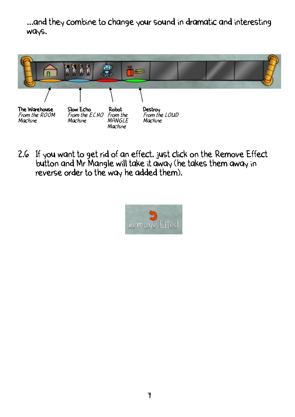...and they combine to change your sound in dramatic and interesting ways.



2.6 If you want to get rid of an effect, just click on the Remove Effect button and Mr Mangle will take it away (he takes them away in reverse order to the way he added them).

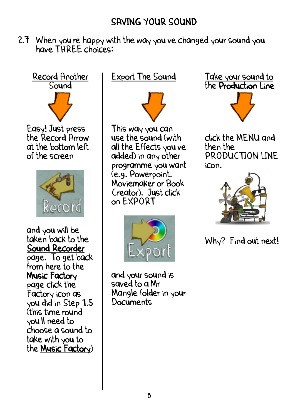### SAVING YOUR SOUND

2.7 When you re happy with the way you ve changed your sound you have THREE choices:



Easy! Just press the Record Arrow at the bottom left of the screen



and you will be taken back to the Sound Recorder page. To get back from here to the Music Factory page click the Factory icon as you did in Step 1.5 (this time round you'll need to choose a sound to take with you to the Music Factory)

Export The Sound



This way you can use the sound (with all the Effects you've added) in any other programme you want (e.g. Powerpoint, Moviemaker or Book Creator). Just click on EXPORT



and your sound is saved to a Mr Mangle folder in your Documents





click the MENU and then the PRODUCTION LINE icon.



Why? Find out next!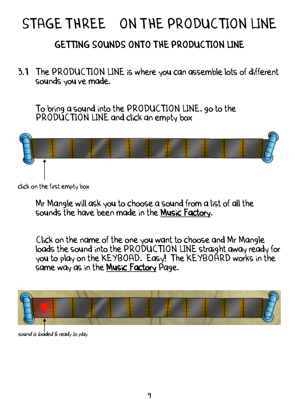# STAGE THREE ON THE PRODUCTION LINE

## GETTING SOUNDS ONTO THE PRODUCTION LINE

3.1 The PRODUCTION LINE is where you can assemble lots of different sounds you ve made.

To bring a sound into the PRODUCTION LINE, go to the PRODUCTION LINE and click an empty box



click on the first empty box

Mr Mangle will ask you to choose a sound from a list of all the sounds the have been made in the Music Factory.

Click on the name of the one you want to choose and Mr Mangle loads the sound into the PRODUCTION LINE straight away ready for you to play on the KEYBOAD. Easy! The KEYBOARD works in the same way as in the Music Factory Page.



sound is loaded & ready to play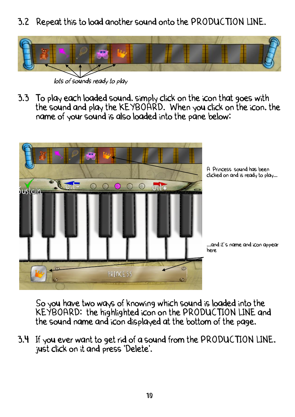3.2 Repeat this to load another sound onto the PRODUCTION LINE.



lots of sounds ready to play

3.3 To play each loaded sound, simply click on the icon that goes with the sound and play the KEYBOARD. When you click on the icon, the name of your sound is also loaded into the pane below:



So you have two ways of knowing which sound is loaded into the KEYBOARD: the highlighted icon on the PRODUCTION LINE and the sound name and icon displayed at the bottom of the page.

3.4 If you ever want to get rid of a sound from the PRODUCTION LINE, just click on it and press 'Delete'.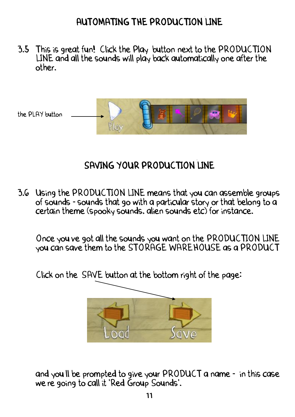### AUTOMATING THE PRODUCTION LINE

3.5 This is great fun! Click the Play' button next to the PRODUCTION LINE and all the sounds will play back automatically one after the other.



## SAVING YOUR PRODUCTION LINE

3.6 Using the PRODUCTION LINE means that you can assemble groups of sounds - sounds that go with a particular story or that belong to a certain theme (spooky sounds, alien sounds etc) for instance.

Once you've got all the sounds you want on the PRODUCTION LINE you can save them to the STORAGE WAREHOUSE as a PRODUCT



Click on the SAVE button at the bottom right of the page:

and you'll be prompted to give your PRODUCT a name - in this case we re going to call it 'Red Group Sounds'.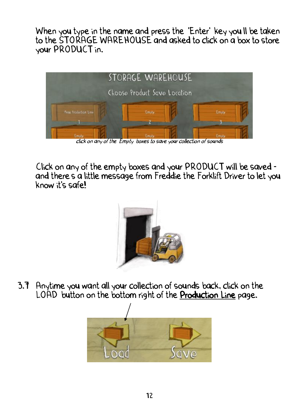When you type in the name and press the 'Enter' key you II be taken to the STORAGE WAREHOUSE and asked to click on a box to store your PRODUCT in.



Click on any of the empty boxes and your PRODUCT will be saved and there's a little message from Freddie the Forklift Driver to let you know it's safe!



3.7 Anytime you want all your collection of sounds back, click on the ' LOAD button on the bottom right of the Production Line page.

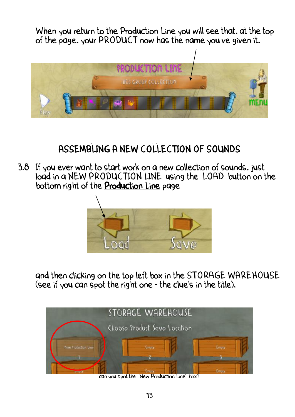When you return to the Production Line you will see that, at the top of the page, your PRODUCT now has the name you've given it.



## ASSEMBLING A NEW COLLECTION OF SOUNDS

3.8 If you ever want to start work on a new collection of sounds, just load in a NEW PRODUCTION LINE using the LOAD button on the bottom right of the Production Line page



and then clicking on the top left box in the STORAGE WAREHOUSE (see if you can spot the right one - the clue's in the title).



can you spot the 'New Production Line' box?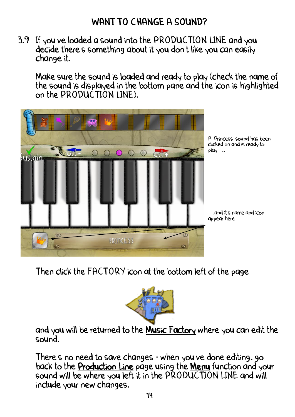3.9 If you've loaded a sound into the PRODUCTION LINE and you decide there's something about it you don't like you can easily change it.

Make sure the sound is loaded and ready to play (check the name of the sound is displayed in the bottom pane and the icon is highlighted on the PRODUCTION LINE).



Then click the FACTORY icon at the bottom left of the page



and you will be returned to the Music Factory where you can edit the sound.

There's no need to save changes - when you ve done editing, go back to the Production Line page using the Menu function and your sound will be where you left it in the PRODUCTION LINE and will include your new changes.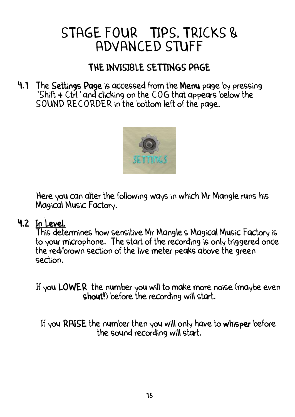## STAGE FOUR TIPS, TRICKS & ADVANCED STUFF

## THE INVISIBLE SETTINGS PAGE

4.1 The Settings Page is accessed from the Menu page by pressing 'Shift + Ctrl' and clicking on the COG that appears below the SOUND RECORDER in the bottom left of the page.



Here you can alter the following ways in which Mr Mangle runs his Magical Music Factory.

#### 4.2 In Level.

This determines how sensitive Mr Mangle's Magical Music Factory is to your microphone. The start of the recording is only triggered once the red/brown section of the live meter peaks above the green section.

If you LOWER the number you will to make more noise (maybe even shout!) before the recording will start.

If you RAISE the number then you will only have to whisper before the sound recording will start.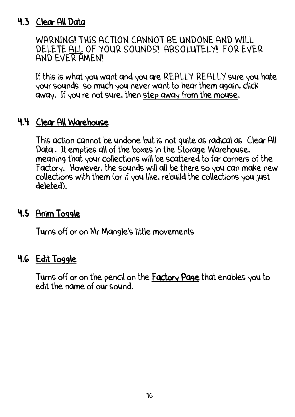#### 4.3 Clear All Data

WARNING! THIS ACTION CANNOT BE UNDONE AND WILL DELETE ALL OF YOUR SOUNDS! ABSOLUTELY! FOR EVER AND EVER AMEN!

If this is what you want and you are REALLY REALLY sure you hate your sounds so much you never want to hear them again, click away. If you re not sure, then step away from the mouse.

#### 4.4 Clear All Warehouse

This action cannot be undone but is not quite as radical as Clear All Data. It empties all of the boxes in the Storage Warehouse. meaning that your collections will be scattered to far corners of the Factory. However, the sounds will all be there so you can make new collections with them (or if you like, rebuild the collections you just deleted).

#### 4.5 Anim Toggle

Turns off or on Mr Mangle's little movements

#### 4.6 <u>Edit Toggle</u>

Turns off or on the pencil on the Factory Page that enables you to edit the name of our sound.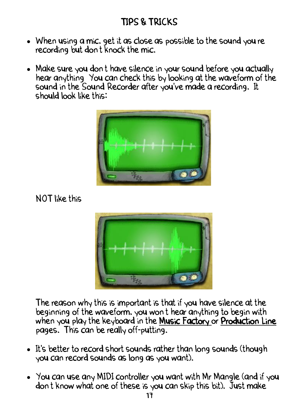- When using a mic, get it as close as possible to the sound you're recording but don't knock the mic.
- . Make sure you don't have silence in your sound before you actually hear anything You can check this by looking at the waveform of the sound in the Sound Recorder after you've made a recording. It should look like this:



NOT like this



The reason why this is important is that if you have silence at the beginning of the waveform, you won't hear anything to begin with when you play the keyboard in the Music Factory or Production Line pages. This can be really off-putting.

- It's better to record short sounds rather than long sounds (though you can record sounds as long as you want).
- You can use any MIDI controller you want with Mr Mangle (and if you don't know what one of these is you can skip this bit). Just make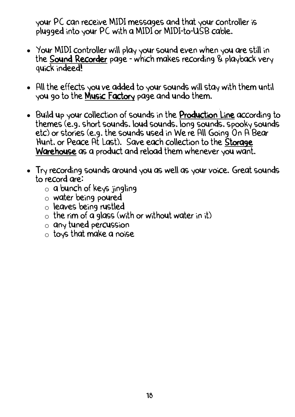your PC can receive MIDI messages and that your controller is plugged into your PC with a MIDI or MIDI-to-USB cable.

- Your MIDI controller will play your sound even when you are still in the Sound Recorder page - which makes recording & playback very quick indeed!
- All the effects you've added to your sounds will stay with them until you go to the Music Factory page and undo them.
- Build up your collection of sounds in the Production Line according to themes (e.g. short sounds, loud sounds, long sounds, spooky sounds etc) or stories (e.g. the sounds used in We re All Going On A Bear Hunt, or Peace At Last). Save each collection to the Storage Warehouse as a product and reload them whenever you want.
- Try recording sounds around you as well as your voice. Great sounds to record are:
	- o a bunch of keys jingling;
	- o water being poured;
	- o leaves being rustled
	- $\circ$  the rim of a glass (with or without water in it)
	- o any tuned percussion
	- o toys that make a noise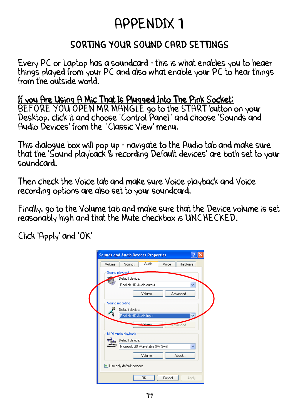## APPENDIX 1

### SORTING YOUR SOUND CARD SETTINGS

Every PC or Laptop has a soundcard - this is what enables you to heaer things played from your PC and also what enable your PC to hear things from the outside world.

#### If you Are Using A Mic That Is Plugged Into The Pink Socket:

BEFORE YOU OPEN MR MANGLE go to the START button on your Desktop, click it and choose 'Control Panel'' and choose 'Sounds and Audio Devices' from the 'Classic View' menu.

This dialogue box will pop up - navigate to the Audio tab and make sure that the 'Sound playback & recording Default devices' are both set to your soundcard.

Then check the Voice tab and make sure Voice playback and Voice recording options are also set to your soundcard.

Finally, go to the Volume tab and make sure that the Device volume is set reasonably high and that the Mute checkbox is UNCHECKED.

Click 'Apply' and 'OK'

| <b>Sounds and Audio Devices Properties</b>                                         |  |
|------------------------------------------------------------------------------------|--|
| Audio<br>Volume<br>Sounds<br>Voice<br>Hardware                                     |  |
| Sound playback<br>Default device:<br>Realtek HD Audio output<br>Volume<br>Advanced |  |
| Sound recording<br>Default device:<br>Realtek HD Audio Input<br>M                  |  |
| محمر بالمفق<br>Advanced.                                                           |  |
| MIDI music playback                                                                |  |
| Default device:                                                                    |  |
| Microsoft GS Wavetable SW Synth<br>v                                               |  |
| Volume<br>About                                                                    |  |
| Use only default devices                                                           |  |
| OK<br>Cancel<br>Apply                                                              |  |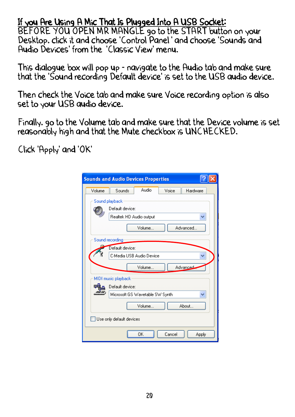#### If you Are Using A Mic That Is Plugged Into A USB Socket:

BEFORE YOU OPEN MR MANGLE go to the START button on your Desktop. click it and choose 'Control Panel' and choose 'Sounds and Audio Devices' from the 'Classic View' menu.

This dialogue box will pop up - navigate to the Audio tab and make sure that the 'Sound recording Default device' is set to the USB audio device.

Then check the Voice tab and make sure Voice recording option is also set to your USB audio device.

Finally, go to the Volume tab and make sure that the Device volume is set reasonably high and that the Mute checkbox is UNCHECKED.

Click 'Apply' and 'OK'

| <b>Sounds and Audio Devices Properties</b> |                                            |        |        |          |  |  |  |  |
|--------------------------------------------|--------------------------------------------|--------|--------|----------|--|--|--|--|
| Volume                                     | Sounds                                     | Audio  | Voice  | Hardware |  |  |  |  |
|                                            | Sound playback                             |        |        |          |  |  |  |  |
|                                            | Default device:<br>Realtek HD Audio output |        |        |          |  |  |  |  |
|                                            |                                            |        |        |          |  |  |  |  |
|                                            |                                            | Volume |        | Advanced |  |  |  |  |
|                                            | Sound recording                            |        |        |          |  |  |  |  |
|                                            | Default device:                            |        |        |          |  |  |  |  |
| C-Media USB Audio Device                   |                                            |        |        |          |  |  |  |  |
|                                            |                                            | Volume |        | Advanced |  |  |  |  |
|                                            | MIDI music playback                        |        |        |          |  |  |  |  |
|                                            | Default device:                            |        |        |          |  |  |  |  |
|                                            | Microsoft GS Wavetable SW Synth<br>Y       |        |        |          |  |  |  |  |
|                                            |                                            | Volume |        | About    |  |  |  |  |
| Use only default devices                   |                                            |        |        |          |  |  |  |  |
|                                            |                                            | OΚ     | Cancel | Apply    |  |  |  |  |